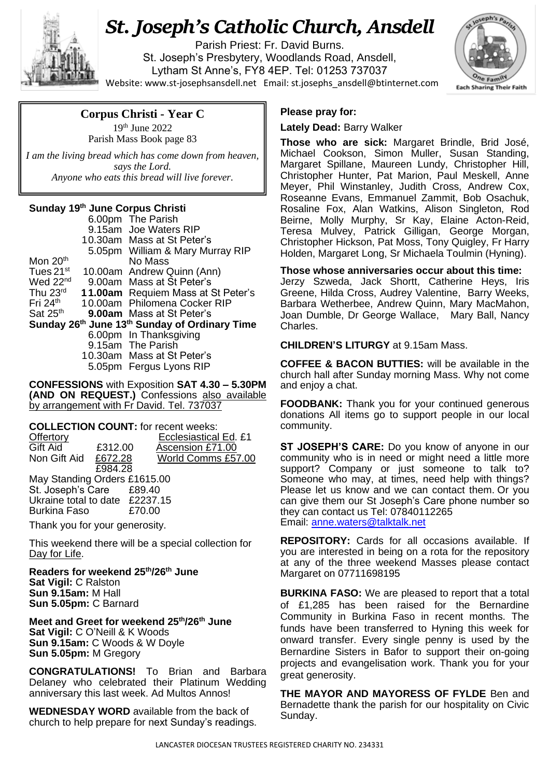

## *St. Joseph's Catholic Church, Ansdell*

Parish Priest: Fr. David Burns. St. Joseph's Presbytery, Woodlands Road, Ansdell, Lytham St Anne's, FY8 4EP. Tel: 01253 737037 Website[: www.st-josephsansdell.net](http://www.st-josephsansdell.net/) Email: [st.josephs\\_ansdell@btinternet.com](mailto:st.josephs_ansdell@btinternet.com)



## **Corpus Christi - Year C**

19th June 2022 Parish Mass Book page 83

 *I am the living bread which has come down from heaven, says the Lord. Anyone who eats this bread will live forever.*

## **Sunday 19 th June Corpus Christi**

|                                               |  | 6.00pm The Parish                         |  |  |
|-----------------------------------------------|--|-------------------------------------------|--|--|
|                                               |  | 9.15am Joe Waters RIP                     |  |  |
|                                               |  | 10.30am Mass at St Peter's                |  |  |
|                                               |  | 5.05pm William & Mary Murray RIP          |  |  |
| Mon 20 <sup>th</sup>                          |  | No Mass                                   |  |  |
| Tues 21 <sup>st</sup>                         |  | 10.00am Andrew Quinn (Ann)                |  |  |
| Wed 22 <sup>nd</sup>                          |  | 9.00am Mass at St Peter's                 |  |  |
| Thu 23rd                                      |  | <b>11.00am</b> Requiem Mass at St Peter's |  |  |
| Fri $24th$                                    |  | 10.00am Philomena Cocker RIP              |  |  |
| Sat 25 <sup>th</sup>                          |  | <b>9.00am</b> Mass at St Peter's          |  |  |
| Sunday 26th June 13th Sunday of Ordinary Time |  |                                           |  |  |
|                                               |  | 6.00pm In Thanksgiving                    |  |  |
|                                               |  | 9.15am The Parish                         |  |  |
|                                               |  | 10.30am Mass at St Peter's                |  |  |
|                                               |  | 5.05pm Fergus Lyons RIP                   |  |  |

**CONFESSIONS** with Exposition **SAT 4.30 – 5.30PM (AND ON REQUEST.)** Confessions also available by arrangement with Fr David. Tel. 737037

**COLLECTION COUNT:** for recent weeks:<br>Offertory **Ecclesiastical** Ecclesiastical Ed. £1

| Gift Aid                       | £312.00 |        | Ascension £71.00   |  |  |  |
|--------------------------------|---------|--------|--------------------|--|--|--|
| Non Gift Aid                   | £672.28 |        | World Comms £57.00 |  |  |  |
|                                | £984.28 |        |                    |  |  |  |
| May Standing Orders £1615.00   |         |        |                    |  |  |  |
| St. Joseph's Care £89.40       |         |        |                    |  |  |  |
| Ukraine total to date £2237.15 |         |        |                    |  |  |  |
| Burkina Faso                   |         | £70.00 |                    |  |  |  |
|                                |         |        |                    |  |  |  |

Thank you for your generosity.

This weekend there will be a special collection for Day for Life.

**Readers for weekend 25th/26th June Sat Vigil:** C Ralston **Sun 9.15am:** M Hall **Sun 5.05pm:** C Barnard

**Meet and Greet for weekend 25th/26th June Sat Vigil:** C O'Neill & K Woods **Sun 9.15am:** C Woods & W Doyle **Sun 5.05pm:** M Gregory

**CONGRATULATIONS!** To Brian and Barbara Delaney who celebrated their Platinum Wedding anniversary this last week. Ad Multos Annos!

**WEDNESDAY WORD** available from the back of church to help prepare for next Sunday's readings.

## **Please pray for:**

**Lately Dead:** Barry Walker

**Those who are sick:** Margaret Brindle, Brid José, Michael Cookson, Simon Muller, Susan Standing, Margaret Spillane, Maureen Lundy, Christopher Hill, Christopher Hunter, Pat Marion, Paul Meskell, Anne Meyer, Phil Winstanley, Judith Cross, Andrew Cox, Roseanne Evans, Emmanuel Zammit, Bob Osachuk, Rosaline Fox, Alan Watkins, Alison Singleton, Rod Beirne, Molly Murphy, Sr Kay, Elaine Acton-Reid, Teresa Mulvey, Patrick Gilligan, George Morgan, Christopher Hickson, Pat Moss, Tony Quigley, Fr Harry Holden, Margaret Long, Sr Michaela Toulmin (Hyning).

. Charles. **Those whose anniversaries occur about this time:** Jerzy Szweda, Jack Shortt, Catherine Heys, Iris Greene, Hilda Cross, Audrey Valentine, Barry Weeks, Barbara Wetherbee, Andrew Quinn, Mary MacMahon, Joan Dumble, Dr George Wallace, Mary Ball, Nancy

**CHILDREN'S LITURGY** at 9.15am Mass.

**COFFEE & BACON BUTTIES:** will be available in the church hall after Sunday morning Mass. Why not come and enjoy a chat.

**FOODBANK:** Thank you for your continued generous donations All items go to support people in our local community.

**ST JOSEPH'S CARE:** Do you know of anyone in our community who is in need or might need a little more support? Company or just someone to talk to? Someone who may, at times, need help with things? Please let us know and we can contact them. Or you can give them our St Joseph's Care phone number so they can contact us Tel: 07840112265 Email: [anne.waters@talktalk.net](mailto:anne.waters@talktalk.net)

**REPOSITORY:** Cards for all occasions available. If you are interested in being on a rota for the repository at any of the three weekend Masses please contact Margaret on 07711698195

**BURKINA FASO:** We are pleased to report that a total of £1,285 has been raised for the Bernardine Community in Burkina Faso in recent months. The funds have been transferred to Hyning this week for onward transfer. Every single penny is used by the Bernardine Sisters in Bafor to support their on-going projects and evangelisation work. Thank you for your great generosity.

**THE MAYOR AND MAYORESS OF FYLDE** Ben and Bernadette thank the parish for our hospitality on Civic Sunday.